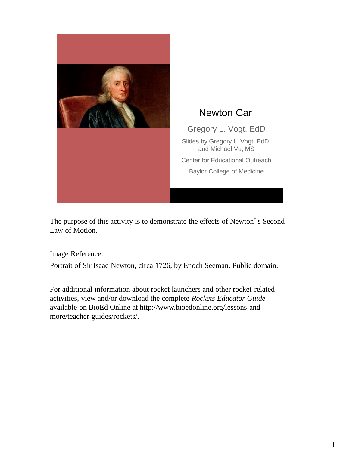

The purpose of this activity is to demonstrate the effects of Newton's Second Law of Motion.

Image Reference:

Portrait of Sir Isaac Newton, circa 1726, by Enoch Seeman. Public domain.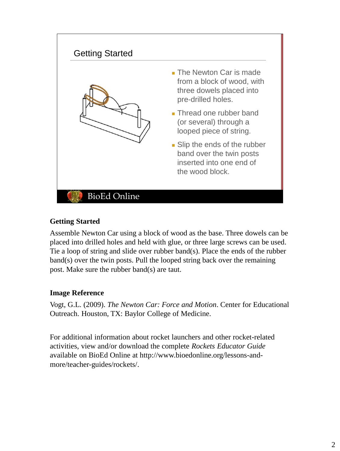

# **Getting Started**

Assemble Newton Car using a block of wood as the base. Three dowels can be placed into drilled holes and held with glue, or three large screws can be used. Tie a loop of string and slide over rubber band(s). Place the ends of the rubber band(s) over the twin posts. Pull the looped string back over the remaining post. Make sure the rubber band(s) are taut.

### **Image Reference**

Vogt, G.L. (2009). *The Newton Car: Force and Motion*. Center for Educational Outreach. Houston, TX: Baylor College of Medicine.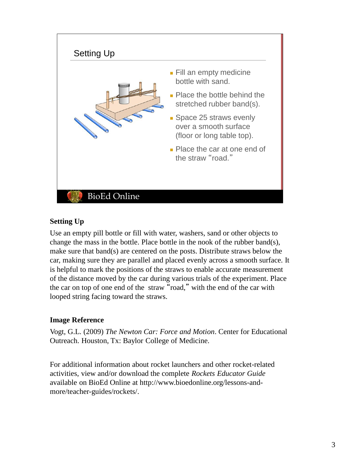

# **Setting Up**

Use an empty pill bottle or fill with water, washers, sand or other objects to change the mass in the bottle. Place bottle in the nook of the rubber band(s), make sure that band(s) are centered on the posts. Distribute straws below the car, making sure they are parallel and placed evenly across a smooth surface. It is helpful to mark the positions of the straws to enable accurate measurement of the distance moved by the car during various trials of the experiment. Place the car on top of one end of the straw "road," with the end of the car with looped string facing toward the straws.

# **Image Reference**

Vogt, G.L. (2009) *The Newton Car: Force and Motion*. Center for Educational Outreach. Houston, Tx: Baylor College of Medicine.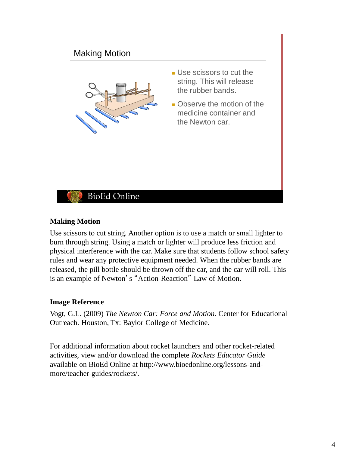

### **Making Motion**

Use scissors to cut string. Another option is to use a match or small lighter to burn through string. Using a match or lighter will produce less friction and physical interference with the car. Make sure that students follow school safety rules and wear any protective equipment needed. When the rubber bands are released, the pill bottle should be thrown off the car, and the car will roll. This is an example of Newton's "Action-Reaction" Law of Motion.

### **Image Reference**

Vogt, G.L. (2009) *The Newton Car: Force and Motion*. Center for Educational Outreach. Houston, Tx: Baylor College of Medicine.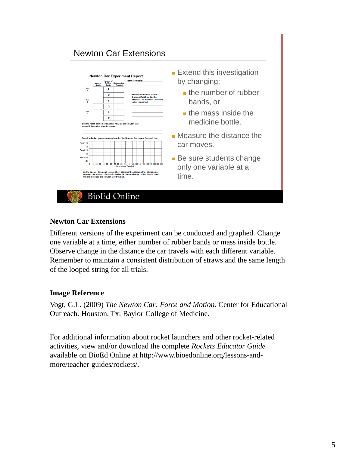| <b>Newton Car Experiment Report</b><br><b>Team Members:</b><br>Number of<br>Rubber<br>Mass of<br><b>Distance Car</b><br><b>Rottle</b><br><b>Bands</b><br><b>Traveled</b> |                                                                                                                                              |                                                                                                                                                                                                                                                   | <b>Extend this investigation</b><br>by changing:             |
|--------------------------------------------------------------------------------------------------------------------------------------------------------------------------|----------------------------------------------------------------------------------------------------------------------------------------------|---------------------------------------------------------------------------------------------------------------------------------------------------------------------------------------------------------------------------------------------------|--------------------------------------------------------------|
| Test<br>Test<br>$\overline{2}$                                                                                                                                           | $\mathbf{1}$<br>$\overline{2}$<br>$\mathbf{1}$                                                                                               | Did the number of rubber<br>bands affect how far the<br>Newton Car moved? Describe<br>what happened.                                                                                                                                              | $\blacksquare$ the number of rubber<br>bands, or             |
| Test<br>$\mathbf{a}$                                                                                                                                                     | $\overline{2}$<br>1<br>$\overline{\mathbf{2}}$<br>Did the mass of the bottle affect how far the Newton Car<br>moved? Describe what happened. |                                                                                                                                                                                                                                                   | $\blacksquare$ the mass inside the<br>medicine bottle.       |
| Construct a bar graph showing how far the Newton Car moved for each test.<br>Tost 1 (1)<br>(2)<br><b>Test 2 (1)</b>                                                      |                                                                                                                                              |                                                                                                                                                                                                                                                   | $\blacksquare$ Measure the distance the<br>car moves.        |
| (2)<br><b>Test 3 (1)</b><br>$^{(2)}$                                                                                                                                     | 0 10 20 30 40 50 60                                                                                                                          | 70 80 90 100 110 120 130 140 150 160 170 180 190 200<br><b>Centimeters Traveled</b><br>On the back of this page write a short statement explaining the relationship<br>between the amount of mass in the bottle, the number of rubber bands used. | • Be sure students change<br>only one variable at a<br>time. |

# **Newton Car Extensions**

Different versions of the experiment can be conducted and graphed. Change one variable at a time, either number of rubber bands or mass inside bottle. Observe change in the distance the car travels with each different variable. Remember to maintain a consistent distribution of straws and the same length of the looped string for all trials.

### **Image Reference**

Vogt, G.L. (2009) *The Newton Car: Force and Motion*. Center for Educational Outreach. Houston, Tx: Baylor College of Medicine.